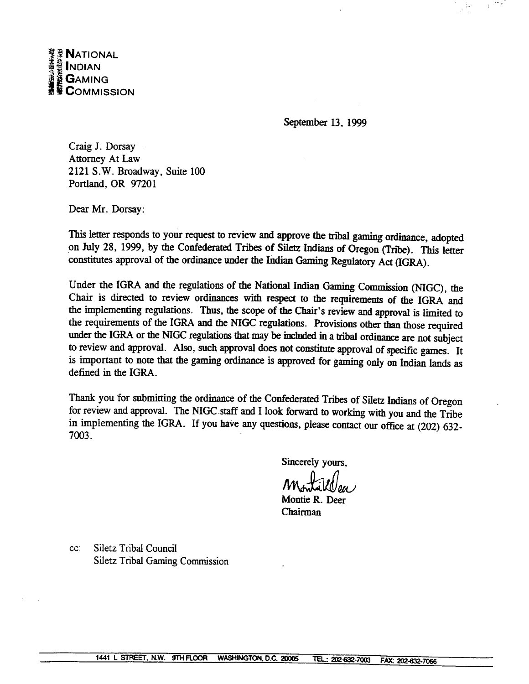September 13, 1999

Craig J. Dorsay Attorney At **Law**  2121 S.W. Broadway, Suite 100 Portland, OR 97201

Dear Mr. Dorsay:

This letter responds to your request to review and approve the tribal gaming ordinance, adopted on July 28, 1999, by the Confederated Tribes of Siletz Indians of Oregon (Tribe). This letter constitutes approval of the ordinance under the Indian Gaming Regulatory Act (IGRA).

Under the IGRA and the regulations of the National Indian Gaming Commission (MGC), the Chair is directed to review ordinances with respect to the requirements of the IGRA and the implementing regulations. **Thus,** the scope of the Chair's review and approval is limited to the requirements of the IGRA and the MGC regulations. Provisions other **than** those required under the IGRA or the NIGC regulations that may be included in a tribal ordinance are not subject to review and approval. Also, such approval does not constitute approval of specific games. It is important to note that the **gaming** ordinance is approved for **gaming** only on Indian lands as defined in the **IGRA.** 

Thank you for submitting the ordinance of the Confederated Tribes of Siletz Indians of Oregon for review and approval. The **NIGC.staff** and I look forward to working with you and the Tribe in implementing the **IGRA.** If you **have** any questions, please contact our office at (202) **632-**  7003.

Sincerely yours,

Montie R. Deer **Chairman** 

cc: Siletz Tribd Council Siletz Tribal Gaming Commission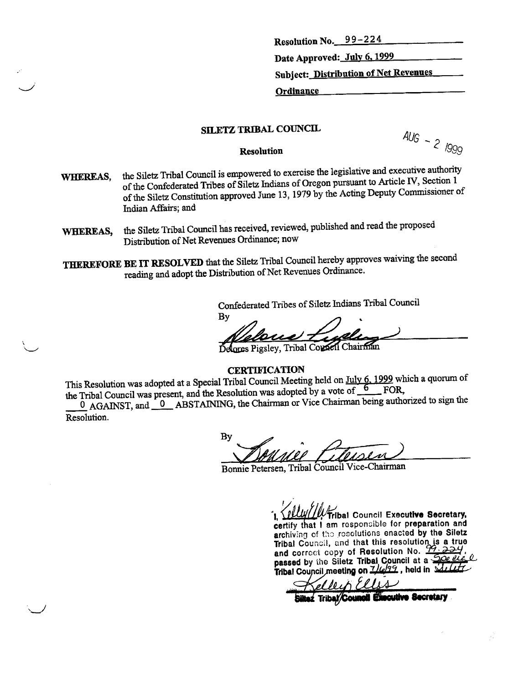**Resolution No. 9 9** - **2 2 4** 

**Date Approved: Julv 6,1999** 

**Subject: Distribution of Net Revenues** 

**Ordinance** 

# **SILETZ TRIBAL COUNCIL**

**RIBAL COUNCIL**  $\frac{A \cup B}{A} - \frac{2}{\sqrt{999}}$ 

- **WHEREAS,** the Siletz Tribal Council is empowered to exercise the legislative and executive authority Section 1 of the Confederated Tribes of Siletz Indians of Oregon pursuant to Mcle **IV,** Section 1 of the Siletz Constitution approved June 13, 1979 by the Acting Deputy Commissioner of **Indian** Affairs; **and**
- WHEREAS, the Siletz Tribal Council has received, reviewed, published and read the proposed Distribution of Net Revenues Ordinance; now

**THEREFORE BE** IT RESOLVED that the Siletz Tribal Council hereby approves waiving the second reading and adopt the Distribution of Net Revenues Ordinance.

Confederated Tribes of Siletz **Indians** Tribal Council

Bv

**CERTIFICATION** 

**CERTIFICATION**<br>This Resolution was adopted at a Special Tribal Council Meeting held on July 6, 1999 which a quorum of <br>he Tribal Council was present, and the Resolution was adopted by a vote of <u>6</u> FOR, the Tribal Council was present, and the Resolution was adopted by a vote of 6 FOR, **1 CERTIFICATION**<br>
This Resolution was adopted at a Special Tribal Council Meeting held on July 6, 1999 which a quorum of<br>
the Tribal Council was present, and the Resolution was adopted by a vote of  $\frac{6}{5}$  FOR,<br> **10**

0 AGAINST, and 0 ABSTAINING, the Chairman or Vice Chairman being authorized to sign the Resolution.

By

Bonnie Petersen, Tribal Council **Vice-Chainnan** 

*fribal Council Executive Secretary.* **restify that I am responsible for preparation and** archiving of the resolutions enacted by the Siletz **Tribal Council, and that this resolution is a true** and correct copy of Resolution No. 2324 **passed by tho Siletz Tribal Council at Tribal Council meeting on**  $\frac{7}{22}$ , held in

cutive Secretary **Biltez Tribal/Council E**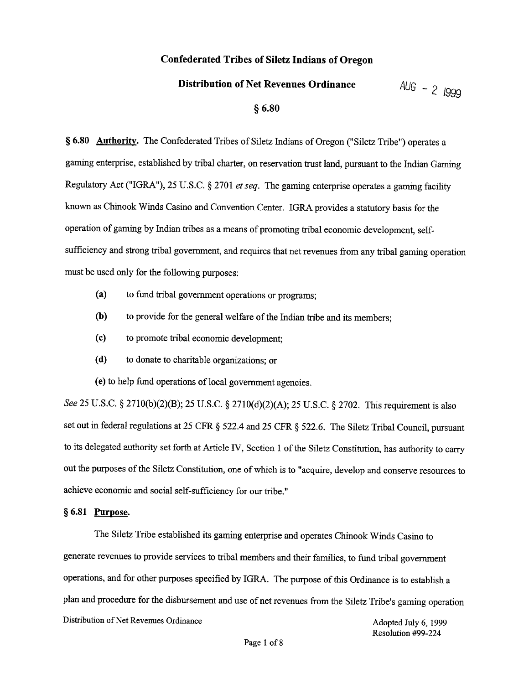# **Confederated Tribes of Siletz Indians of Oregon**

#### **Distribution of Net Revenues Ordinance**

 $AUG - 2 1999$ 

# **5 6.80**

**8 6.80 Authority.** The Confederated Tribes of Siletz Indians of Oregon ("Siletz Tribe") operates a gaming enterprise, established by tribal charter, on reservation trust land, pursuant to the Indian Gaming Regulatory Act ("IGRA"), 25 U.S.C. *5* 2701 et *seq.* The gaming enterprise operates a gaming facility known as Chinook Winds Casino and Convention Center. IGRA provides a statutory basis for the operation of gaming by Indian tribes as a means of promoting tribal economic development, selfsufficiency and strong tribal government, and requires that net revenues from any tribal gaming operation must be used only for the following purposes:

- **(a)** to fund tribal government operations or programs;
- **(b)** to provide for the general welfare of the Indian tribe and its members;
- **(c)** to promote tribal economic development;
- **(d)** to donate to charitable organizations; or

**(e)** to help fund operations of local government agencies.

*See* 25 U.S.C. *5* 2710(b)(2)(B); *25* U.S.C. *4* 2710(d)(2)(A); *25* U.S.C. *5* 2702. This requirement is also set out in federal regulations at 25 **CFR** 8 522.4 and 25 **CFR** § 522.6. The Siletz Tribal Council, pursuant to its delegated authority set forth at Article IV, Section 1 of the Siletz Constitution, has authority to carry out the purposes of the Siletz Constitution, one of which is to "acquire, develop and conserve resources to achieve economic and social self-sufficiency for our tribe."

## § 6.81 **Purpose.**

The Siletz Tribe established its gaming enterprise and operates Chinook Winds Casino to generate revenues to provide services to tribal members and their families, to fund tribal government operations, and for other purposes specified by IGR4. The purpose of this Ordinance is to establish a plan and procedure for the disbursement and use of net revenues from the Siletz Tribe's gaming operation Distribution of Net Revenues Ordinance Adopted July 6, 1999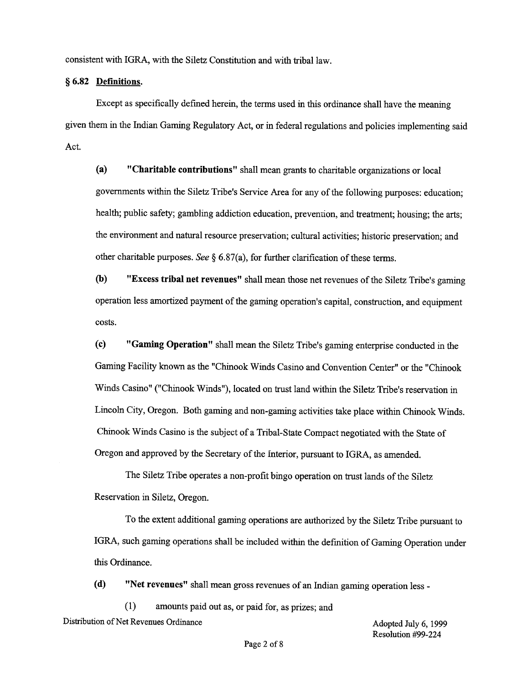consistent with IGRA, with the Siletz Constitution and with tribal law.

#### *5* 6.82 **Definitions.**

Except as specifically defined herein, the terms used in this ordinance shall have the meaning given them in the Indian Gaming Regulatory Act, or in federal regulations and policies implementing said Act.

**(a) "Charitable contributions"** shall mean grants to charitable organizations or local governments within the Siletz Tribe's Service Area for any of the following purposes: education; health; public safety; gambling addiction education, prevention, and treatment; housing; the arts; the environment and natural resource preservation; cultural activities; historic preservation; and other charitable purposes. *See* **8 6.87(a),** for further clarification of these terms.

@) **"Excess tribal net revenues"** shall mean those net revenues of the Siletz Tribe's gaming operation less amortized payment of the gaming operation's capital, construction, and equipment costs.

**(c) "Gaming Operation"** shall mean the Siletz Tribe's gaming enterprise conducted in the Gaming Facility known as the "Chinook Winds Casino and Convention Center" or the "Chinook Winds Casino" ("Chinook Winds"), located on trust land within the Siletz Tribe's reservation in Lincoln City, Oregon. Both gaming and non-gaming activities take place within Chinook Winds. Chinook Winds Casino is the subject of a Tribal-State Compact negotiated with the State of Oregon and approved by the Secretary of the Interior, pursuant to IGRA, as amended.

The Siletz Tribe operates a non-profit bingo operation on trust lands of the Siletz Reservation in Siletz, Oregon.

To the extent additional gaming operations are authorized by the Siletz Tribe pursuant to IGRA, such gaming operations shall be included within the defmition of Gaming Operation under this Ordinance.

**(d)** "Net revenues" shall mean gross revenues of an Indian gaming operation less -

(1) amounts paid out as, or paid for, as prizes; and Distribution of Net Revenues Ordinance

Adopted July *6,* 1999 Resolution #99-224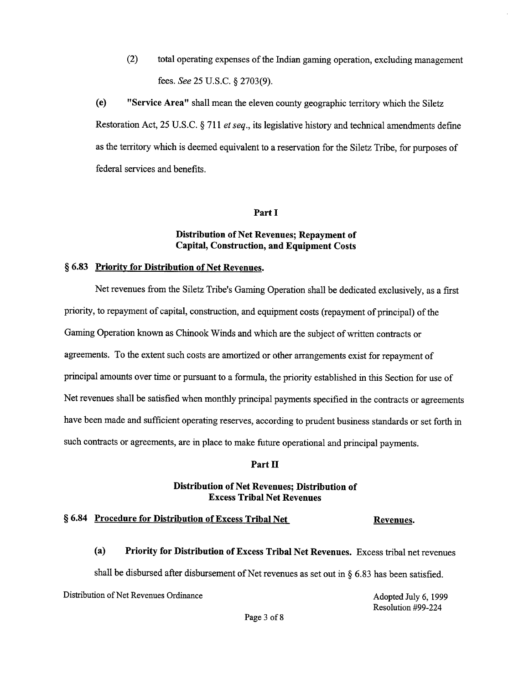(2) total operating expenses of the Indian gaming operation, excluding management fees. *See* 25 U.S.C. **8** 2703(9).

**(e) "Service Area"** shall mean the eleven county geographic territory which the Siletz Restoration Act, 25 U.S.C. **4** 71 1 *et* seq., its legislative history and technical amendments define as the territory which is deemed equivalent to a reservation for the Siletz Tribe, for purposes of federal services and benefits.

#### **Part I**

## **Distribution of Net Revenues; Repayment of Capital, Construction, and Equipment Costs**

# § **6.83 Prioritv for Distribution of Net Revenues.**

Net revenues from the Siletz Tribe's Gaming Operation shall be dedicated exclusively, as a first priority, to repayment of capital, construction, and equipment costs (repayment of principal) of the Gaming Operation known as Chinook Winds and which are the subject of written contracts or agreements. To the extent such costs are amortized or other arrangements exist for repayment of principal amounts over time or pursuant to a formula, the priority established in this Section for use of Net revenues shall be satisfied when monthly principal payments specified in the contracts or agreements have been made and sufficient operating reserves, according to prudent business standards or set forth in such contracts or agreements, are in place to make future operational and principal payments.

#### **Part II**

# **Distribution of Net Revenues; Distribution of Excess Tribal Net Revenues**

#### § **6.84 Procedure for Distribution of Excess Tribal Net Revenues.**

**(a) Priority for Distribution of Excess Tribal Net Revenues.** Excess tribal net revenues

shall be disbursed after disbursement of Net revenues as set out in **4** 6.83 has been satisfied.

Distribution of Net Revenues Ordinance

Adopted July 6,1999 Resolution #99-224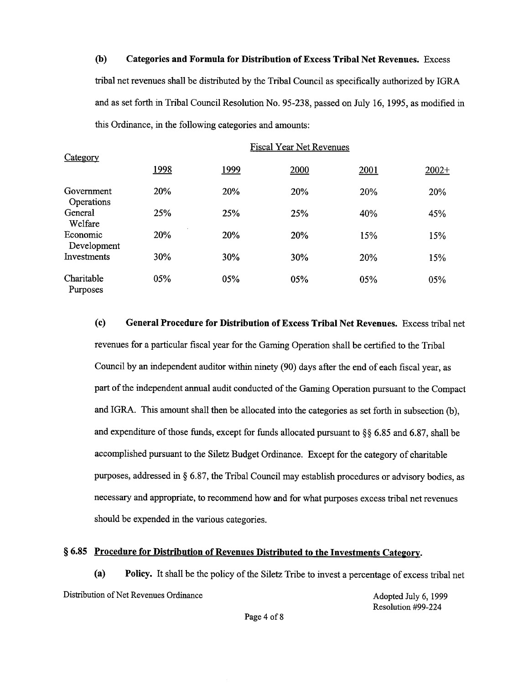**(b) Categories and Formula for Distribution of Excess Tribal Net Revenues.** Excess tribal net revenues shall be distributed by the Tribal Council as specifically authorized by IGRA and as set forth in Tribal Council Resolution No. 95-238, passed on July 16, 1995, as modified in this Ordinance, in the following categories and amounts:

| Category                 | <b>Fiscal Year Net Revenues</b> |              |      |      |         |
|--------------------------|---------------------------------|--------------|------|------|---------|
|                          | 1998                            | <u> 1999</u> | 2000 | 2001 | $2002+$ |
| Government<br>Operations | 20%                             | 20%          | 20%  | 20%  | 20%     |
| General<br>Welfare       | 25%                             | 25%          | 25%  | 40%  | 45%     |
| Economic<br>Development  | 20%                             | 20%          | 20%  | 15%  | 15%     |
| Investments              | 30%                             | 30%          | 30%  | 20%  | 15%     |
| Charitable<br>Purposes   | 05%                             | 05%          | 05%  | 05%  | 05%     |

**(c) General Procedure for Distribution of Excess Tribal Net Revenues.** Excess tribal net revenues for a particular fiscal year for the Gaming Operation shall be certified to the Tribal Council by an independent auditor within ninety (90) days after the end of each fiscal year, as part of the independent annual audit conducted of the Gaming Operation pursuant to the Compact and IGRA. This amount shall then be allocated into the categories as set forth in subsection (b), and expenditure of those funds, except for funds allocated pursuant to **fjfj** 6.85 and 6.87, shall be accomplished pursuant to the Siletz Budget Ordinance. Except for the category of charitable purposes, addressed in **tj** 6.87, the Tribal Council may establish procedures or advisory bodies, as necessary and appropriate, to recommend how and for what purposes excess tribal net revenues should be expended in the various categories.

# § 6.85 Procedure for Distribution of Revenues Distributed to the Investments Category.

**(a) Policy.** It shall be the policy of the Siletz Tribe to invest a percentage of excess tribal net Distribution of Net Revenues Ordinance Adopted July 6, 1999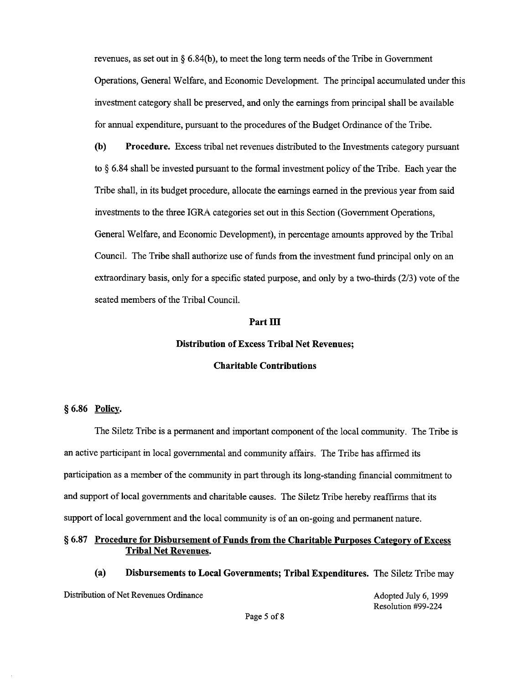revenues, as set out in **4** 6.84(b), to meet the long term needs of the Tribe in Government Operations, General Welfare, and Economic Development. The principal accumulated under this investment category shall be preserved, and only the earnings from principal shall be available for annual expenditure, pursuant to the procedures of the Budget Ordinance of the Tribe.

@) **Procedure.** Excess tribal net revenues distributed to the Investments category pursuant to 6.84 shall be invested pursuant to the formal investment policy of the Tribe. Each year the Tribe shall, in its budget procedure, allocate the earnings earned in the previous year from said investments to the three IGRA categories set out in this Section (Government Operations, General Welfare, and Economic Development), in percentage amounts approved by the Tribal Council. The Tribe shall authorize use of funds from the investment fund principal only on an extraordinary basis, only for a specific stated purpose, and only by a two-thirds (213) vote of the seated members of the Tribal Council.

#### **Part 111**

#### **Distribution of Excess Tribal Net Revenues;**

#### **Charitable Contributions**

#### **fj 6.86 Policv.**

The Siletz Tribe is a permanent and important component of the local community. The Tribe is an active participant in local governmental and community affairs. The Tribe has affirmed its participation as a member of the community in part through its long-standing financial commitment to and support of local governments and charitable causes. The Siletz Tribe hereby reaffirms that its support of local government and the local community is of an on-going and permanent nature.

#### **§ 6.87** Procedure for Disbursement of Funds from the Charitable Purposes Category of Excess **Tribal Net Revenues.**

**(a) Disbursements to Local Governments; Tribal Expenditures.** The Siletz Tribe may

Distribution of Net Revenues Ordinance

Adopted July *6,* 1999 Resolution **#99-224**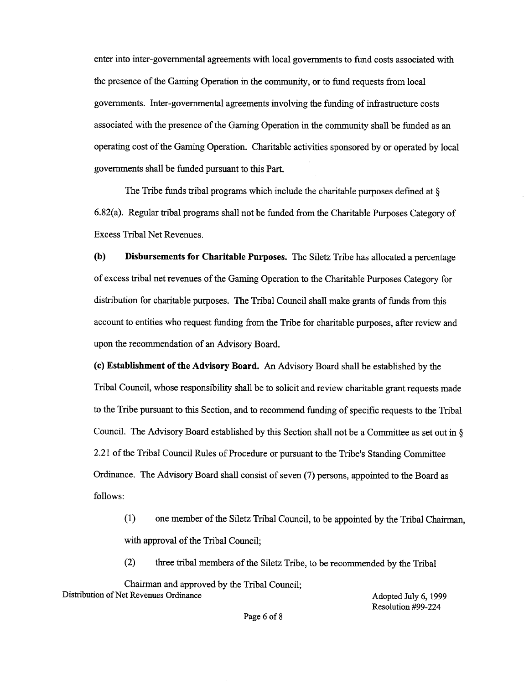enter into inter-governmental agreements with local governments to fund costs associated with the presence of the Gaming Operation in the community, or to fund requests from local governments. Inter-governmental agreements involving the funding of infrastructure costs associated with the presence of the Gaming Operation in the community shall be funded as an operating cost of the Gaming Operation. Charitable activities sponsored by or operated by local governments shall be fimded pursuant to this Part.

The Tribe funds tribal programs which include the charitable purposes defined at **8**  6.82(a). Regular tribal programs shall not be funded from the Charitable Purposes Category of Excess Tribal Net Revenues.

**(b) Disbursements for Charitable Purposes.** The Siletz Tribe has allocated a percentage of excess tribal net revenues of the Gaming Operation to the Charitable Purposes Category for distribution for charitable purposes. The Tribal Council shall make grants of funds from this account to entities who request funding from the Tribe for charitable purposes, after review and upon the recommendation of an Advisory Board.

**(c) Establishment of the Advisory Board. An** Advisory Board shall be established by the Tribal Council, whose responsibility shall be to solicit and review charitable grant requests made to the Tribe pursuant to this Section, and to recommend funding of specific requests to the Tribal Council. The Advisory Board established by this Section shall not be a Committee as set out in *5*  2.21 of the Tribal Council Rules of Procedure or pursuant to the Tribe's Standing Committee Ordinance. The Advisory Board shall consist of seven (7) persons, appointed to the Board as follows:

(1) one member of the Siletz Tribal Council, to be appointed by the Tribal Chairman, with approval of the Tribal Council;

(2) three tribal members of the Siletz Tribe, to be recommended by the Tribal

Chairman and approved by the Tribal Council; Distribution of Net Revenues Ordinance Adopted July 6, 1999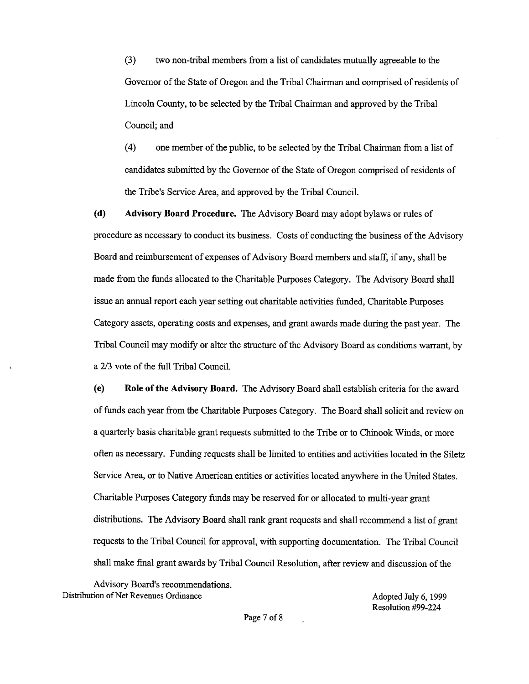**(3)** two non-tribal members from a list of candidates mutually agreeable to the Governor of the State of Oregon and the Tribal Chairman and comprised of residents of Lincoln County, to be selected by the Tribal Chairman and approved by the Tribal Council; and

(4) one member of the public, to be selected by the Tribal Chairman from a list of candidates submitted by the Governor of the State of Oregon comprised of residents of the Tribe's Service Area, and approved by the Tribal Council.

**(d) Advisory Board Procedure.** The Advisory Board may adopt bylaws or rules of procedure as necessary to conduct its business. Costs of conducting the business of the Advisory Board and reimbursement of expenses of Advisory Board members and staff, if any, shall be made from the funds allocated to the Charitable Purposes Category. The Advisory Board shall issue an annual report each year setting out charitable activities funded, Charitable Purposes Category assets, operating costs and expenses, and grant awards made during the past year. The Tribal Council may modify or alter the structure of the Advisory Board as conditions warrant, by a 2/3 vote of the full Tribal Council.

**(e) Role of the Advisory Board.** The Advisory Board shall establish criteria for the award of funds each year from the Charitable Purposes Category. The Board shall solicit and review on a quarterly basis charitable grant requests submitted to the Tribe or to Chinook Winds, or more often as necessary. Funding requests shall be limited to entities and activities located in the Siletz Service Area, or to Native American entities or activities located anywhere in the United States. Charitable Purposes Category funds may be reserved for or allocated to multi-year grant distributions. The Advisory Board shall rank grant requests and shall recommend a list of grant requests to the Tribal Council for approval, with supporting documentation. The Tribal Council shall make final grant awards by Tribal Council Resolution, after review and discussion of the

Advisory Board's recommendations. Distribution of Net Revenues Ordinance Adopted July 6, 1999